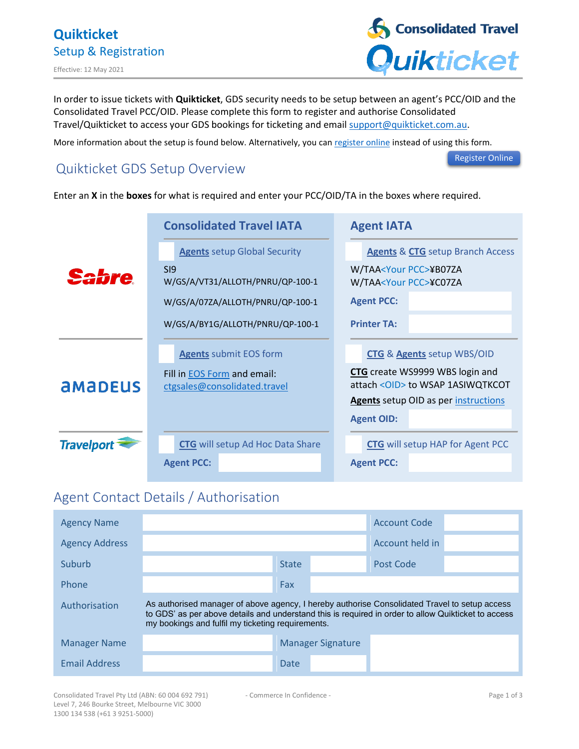

In order to issue tickets with **Quikticket**, GDS security needs to be setup between an agent's PCC/OID and the Consolidated Travel PCC/OID. Please complete this form to register and authorise Consolidated Travel/Quikticket to access your GDS bookings for ticketing and email [support@quikticket.com.au.](mailto:support@quikticket.com.au)

More information about the setup is found below. Alternatively, you can [register online](https://consolidatedtravel.com.au/new-agents/) instead of using this form.

# Quikticket GDS Setup Overview

[Register Online](https://consolidatedtravel.com.au/new-agents/)

#### Enter an **X** in the **boxes** for what is required and enter your PCC/OID/TA in the boxes where required.

|                   | <b>Consolidated Travel IATA</b>                                    | <b>Agent IATA</b>                                                            |  |  |
|-------------------|--------------------------------------------------------------------|------------------------------------------------------------------------------|--|--|
|                   | <b>Agents</b> setup Global Security                                | <b>Agents &amp; CTG</b> setup Branch Access                                  |  |  |
|                   | SI9<br>W/GS/A/VT31/ALLOTH/PNRU/QP-100-1                            | W/TAA <your pcc="">¥B07ZA<br/>W/TAA<your pcc="">¥C07ZA</your></your>         |  |  |
|                   | W/GS/A/07ZA/ALLOTH/PNRU/QP-100-1                                   | <b>Agent PCC:</b>                                                            |  |  |
|                   | W/GS/A/BY1G/ALLOTH/PNRU/QP-100-1                                   | <b>Printer TA:</b>                                                           |  |  |
|                   | <b>Agents submit EOS form</b>                                      | <b>CTG &amp; Agents setup WBS/OID</b>                                        |  |  |
| <b>AMADEUS</b>    | Fill in <b>EOS</b> Form and email:<br>ctgsales@consolidated.travel | <b>CTG</b> create WS9999 WBS login and<br>attach < OID > to WSAP 1ASIWQTKCOT |  |  |
|                   |                                                                    | <b>Agents</b> setup OID as per instructions                                  |  |  |
|                   |                                                                    | <b>Agent OID:</b>                                                            |  |  |
| <b>Travelport</b> | <b>CTG</b> will setup Ad Hoc Data Share                            | <b>CTG</b> will setup HAP for Agent PCC                                      |  |  |
|                   | <b>Agent PCC:</b>                                                  | <b>Agent PCC:</b>                                                            |  |  |

# Agent Contact Details / Authorisation

| <b>Agency Name</b>    |                                                                                                                                                                                                                                                           |              |                          | <b>Account Code</b> |  |
|-----------------------|-----------------------------------------------------------------------------------------------------------------------------------------------------------------------------------------------------------------------------------------------------------|--------------|--------------------------|---------------------|--|
| <b>Agency Address</b> |                                                                                                                                                                                                                                                           |              |                          | Account held in     |  |
| Suburb                |                                                                                                                                                                                                                                                           | <b>State</b> |                          | Post Code           |  |
| Phone                 |                                                                                                                                                                                                                                                           | Fax          |                          |                     |  |
| Authorisation         | As authorised manager of above agency, I hereby authorise Consolidated Travel to setup access<br>to GDS' as per above details and understand this is required in order to allow Quikticket to access<br>my bookings and fulfil my ticketing requirements. |              |                          |                     |  |
| <b>Manager Name</b>   |                                                                                                                                                                                                                                                           |              | <b>Manager Signature</b> |                     |  |
| <b>Email Address</b>  |                                                                                                                                                                                                                                                           | Date         |                          |                     |  |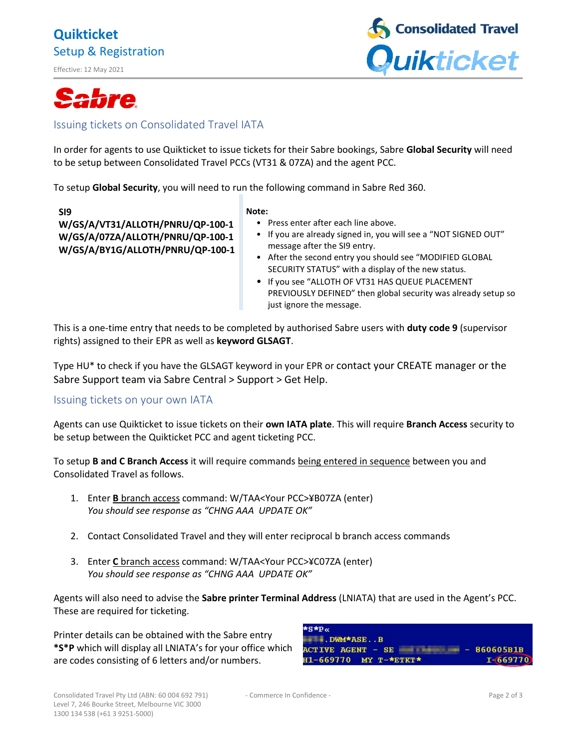## **Quikticket** Setup & Registration

Effective: 12 May 2021



# **Sabre**

## Issuing tickets on Consolidated Travel IATA

In order for agents to use Quikticket to issue tickets for their Sabre bookings, Sabre **Global Security** will need to be setup between Consolidated Travel PCCs (VT31 & 07ZA) and the agent PCC.

To setup **Global Security**, you will need to run the following command in Sabre Red 360.

**SI9 W/GS/A/VT31/ALLOTH/PNRU/QP-100-1 W/GS/A/07ZA/ALLOTH/PNRU/QP-100-1 W/GS/A/BY1G/ALLOTH/PNRU/QP-100-1**

#### **Note:**

- Press enter after each line above.
- If you are already signed in, you will see a "NOT SIGNED OUT" message after the SI9 entry.
- After the second entry you should see "MODIFIED GLOBAL SECURITY STATUS" with a display of the new status.
- If you see "ALLOTH OF VT31 HAS QUEUE PLACEMENT PREVIOUSLY DEFINED" then global security was already setup so just ignore the message.

This is a one-time entry that needs to be completed by authorised Sabre users with **duty code 9** (supervisor rights) assigned to their EPR as well as **keyword GLSAGT**.

Type HU\* to check if you have the GLSAGT keyword in your EPR or contact your CREATE manager or the Sabre Support team via Sabre Central > Support > Get Help.

## Issuing tickets on your own IATA

Agents can use Quikticket to issue tickets on their **own IATA plate**. This will require **Branch Access** security to be setup between the Quikticket PCC and agent ticketing PCC.

To setup **B and C Branch Access** it will require commands being entered in sequence between you and Consolidated Travel as follows.

- 1. Enter **B** branch access command: W/TAA<Your PCC>¥B07ZA (enter) *You should see response as "CHNG AAA UPDATE OK"*
- 2. Contact Consolidated Travel and they will enter reciprocal b branch access commands
- 3. Enter **C** branch access command: W/TAA<Your PCC>¥C07ZA (enter) *You should see response as "CHNG AAA UPDATE OK"*

Agents will also need to advise the **Sabre printer Terminal Address** (LNIATA) that are used in the Agent's PCC. These are required for ticketing.

Printer details can be obtained with the Sabre entry **\*S\*P** which will display all LNIATA's for your office which are codes consisting of 6 letters and/or numbers.

| *S*P«<br>DWM*ASEB                 |              |
|-----------------------------------|--------------|
| $ACTIVE AGENT - SE$ - $B60605B1B$ |              |
| $H1-669770$ MY T-*ETKT*           | $I - 669770$ |